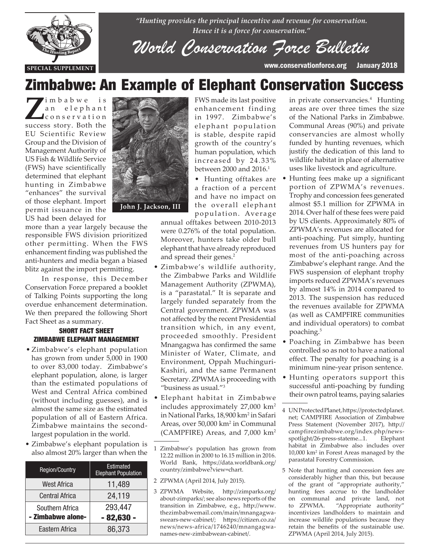

*"Hunting provides the principal incentive and revenue for conservation. Hence it is a force for conservation."*

*World Conservation Force Bulletin*

**SPECIAL SUPPLEMENT** www.conservationforce.org January 2018

# Zimbabwe: An Example of Elephant Conservation Success

I'm b a b w e is<br>
an elephant<br>
conservation a n e l e p h a n t c o n s e r v a t i o n success story. Both the EU Scientific Review Group and the Division of Management Authority of US Fish & Wildlife Service (FWS) have scientifically determined that elephant hunting in Zimbabwe "enhances" the survival of those elephant. Import permit issuance in the US had been delayed for

more than a year largely because the responsible FWS division prioritized other permitting. When the FWS enhancement finding was published the anti-hunters and media began a biased blitz against the import permitting.

 In response, this December Conservation Force prepared a booklet of Talking Points supporting the long overdue enhancement determination. We then prepared the following Short Fact Sheet as a summary.

#### SHORT FACT SHEET ZIMBABWE ELEPHANT MANAGEMENT

- Zimbabwe's elephant population has grown from under 5,000 in 1900 to over 83,000 today. Zimbabwe's elephant population, alone, is larger than the estimated populations of West and Central Africa combined (without including guesses), and is almost the same size as the estimated population of all of Eastern Africa. Zimbabwe maintains the secondlargest population in the world.
- Zimbabwe's elephant population is also almost 20% larger than when the

| <b>Region/Country</b> | Estimated<br><b>Elephant Population</b> |
|-----------------------|-----------------------------------------|
| <b>West Africa</b>    | 11,489                                  |
| <b>Central Africa</b> | 24,119                                  |
| Southern Africa       | 293,447                                 |
| - Zimbabwe alone-     | $-82,630$                               |
| Eastern Africa        | 86,373                                  |



FWS made its last positive enhancement finding in 1997. Zimbabwe's elephant population is stable, despite rapid growth of the country's human population, which increased by 24.33% between 2000 and 2016.<sup>1</sup>

• Hunting offtakes are a fraction of a percent and have no impact on the overall elephant population. Average

annual offtakes between 2010-2013 were 0.276% of the total population. Moreover, hunters take older bull elephant that have already reproduced and spread their genes.<sup>2</sup>

- Zimbabwe's wildlife authority, the Zimbabwe Parks and Wildlife Management Authority (ZPWMA), is a "parastatal." It is separate and largely funded separately from the Central government. ZPWMA was not affected by the recent Presidential transition which, in any event, proceeded smoothly. President Mnangagwa has confirmed the same Minister of Water, Climate, and Environment, Oppah Muchinguri-Kashiri, and the same Permanent Secretary. ZPWMA is proceeding with "business as usual."3
- Elephant habitat in Zimbabwe includes approximately 27,000 km2 in National Parks, 18,900 km2 in Safari Areas, over 50,000 km2 in Communal (CAMPFIRE) Areas, and 7,000 km2

- 2 ZPWMA (April 2014, July 2015).
- 3 ZPWMA Website, http://zimparks.org/ about-zimparks/; see also news reports of the transition in Zimbabwe, e.g., http://www. thezimbabwemail.com/main/mnangagwaswears-new-cabinet/; https://citizen.co.za/ news/news-africa/1746240/mnangagwanames-new-zimbabwean-cabinet/.

in private conservancies.4 Hunting areas are over three times the size of the National Parks in Zimbabwe. Communal Areas (90%) and private conservancies are almost wholly funded by hunting revenues, which justify the dedication of this land to wildlife habitat in place of alternative uses like livestock and agriculture.

- Hunting fees make up a significant portion of ZPWMA's revenues. Trophy and concession fees generated almost \$5.1 million for ZPWMA in 2014. Over half of these fees were paid by US clients. Approximately 80% of ZPWMA's revenues are allocated for anti-poaching. Put simply, hunting revenues from US hunters pay for most of the anti-poaching across Zimbabwe's elephant range. And the FWS suspension of elephant trophy imports reduced ZPWMA's revenues by almost 14% in 2014 compared to 2013. The suspension has reduced the revenues available for ZPWMA (as well as CAMPFIRE communities and individual operators) to combat poaching.<sup>5</sup>
- Poaching in Zimbabwe has been controlled so as not to have a national effect. The penalty for poaching is a minimum nine-year prison sentence.
- Hunting operators support this successful anti-poaching by funding their own patrol teams, paying salaries

5 Note that hunting and concession fees are considerably higher than this, but because of the grant of "appropriate authority," hunting fees accrue to the landholder on communal and private land, not to ZPWMA. "Appropriate authority" incentivizes landholders to maintain and increase wildlife populations because they retain the benefits of the sustainable use. ZPWMA (April 2014, July 2015).

<sup>1</sup> Zimbabwe's population has grown from 12.22 million in 2000 to 16.15 million in 2016. World Bank, https://data.worldbank.org/ country/zimbabwe?view=chart.

<sup>4</sup> UN Protected Planet, https://protectedplanet. net; CAMPFIRE Association of Zimbabwe Press Statement (November 2017), http:// campfirezimbabwe.org/index.php/newsspotlight/26-press-stateme...1. Elephant habitat in Zimbabwe also includes over 10,000 km2 in Forest Areas managed by the parastatal Forestry Commission.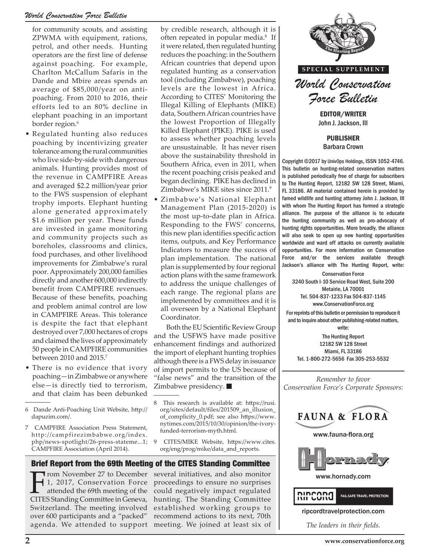### *World Conservation Force Bulletin*

for community scouts, and assisting ZPWMA with equipment, rations, petrol, and other needs. Hunting operators are the first line of defense against poaching. For example, Charlton McCallum Safaris in the Dande and Mbire areas spends an average of \$85,000/year on antipoaching. From 2010 to 2016, their efforts led to an 80% decline in elephant poaching in an important border region.<sup>6</sup>

- Regulated hunting also reduces poaching by incentivizing greater tolerance among the rural communities who live side-by-side with dangerous animals. Hunting provides most of the revenue in CAMPFIRE Areas and averaged \$2.2 million/year prior to the FWS suspension of elephant trophy imports. Elephant hunting alone generated approximately \$1.6 million per year. These funds are invested in game monitoring and community projects such as boreholes, classrooms and clinics, food purchases, and other livelihood improvements for Zimbabwe's rural poor. Approximately 200,000 families directly and another 600,000 indirectly benefit from CAMPFIRE revenues. Because of these benefits, poaching and problem animal control are low in CAMPFIRE Areas. This tolerance is despite the fact that elephant destroyed over 7,000 hectares of crops and claimed the lives of approximately 50 people in CAMPFIRE communities between 2010 and 2015.7
- There is no evidence that ivory poaching—in Zimbabwe or anywhere else—is directly tied to terrorism, and that claim has been debunked
- 6 Dande Anti-Poaching Unit Website, http:// dapuzim.com/.
- 7 CAMPFIRE Association Press Statement, http://campfirezimbabwe.org/index. php/news-spotlight/26-press-stateme...1; CAMPFIRE Association (April 2014).

by credible research, although it is often repeated in popular media.<sup>8</sup> If it were related, then regulated hunting reduces the poaching: in the Southern African countries that depend upon regulated hunting as a conservation tool (including Zimbabwe), poaching levels are the lowest in Africa. According to CITES' Monitoring the Illegal Killing of Elephants (MIKE) data, Southern African countries have the lowest Proportion of Illegally Killed Elephant (PIKE). PIKE is used to assess whether poaching levels are unsustainable. It has never risen above the sustainability threshold in Southern Africa, even in 2011, when the recent poaching crisis peaked and began declining. PIKE has declined in Zimbabwe's MIKE sites since 2011.9

• Zimbabwe's National Elephant Management Plan (2015-2020) is the most up-to-date plan in Africa. Responding to the FWS' concerns, this new plan identifies specific action items, outputs, and Key Performance Indicators to measure the success of plan implementation. The national plan is supplemented by four regional action plans with the same framework to address the unique challenges of each range. The regional plans are implemented by committees and it is all overseen by a National Elephant Coordinator.

Both the EU Scientific Review Group and the USFWS have made positive enhancement findings and authorized the import of elephant hunting trophies although there is a FWS delay in issuance of import permits to the US because of "false news" and the transition of the Zimbabwe presidency.

9 CITES/MIKE Website, https://www.cites. org/eng/prog/mike/data\_and\_reports.

Brief Report from the 69th Meeting of the CITES Standing Committee

From November 27 to December<br>1, 2017, Conservation Force<br>attended the 69th meeting of the<br>CITES Standing Committee in Ceneva 1, 2017, Conservation Force attended the 69th meeting of the CITES Standing Committee in Geneva, Switzerland. The meeting involved over 600 participants and a "packed" agenda. We attended to support

several initiatives, and also monitor proceedings to ensure no surprises could negatively impact regulated hunting. The Standing Committee established working groups to recommend actions to its next, 70th meeting. We joined at least six of



John J. Jackson, III

PUBLISHER Barbara Crown

Copyright ©2017 by UnivOps Holdings, ISSN 1052-4746. This bulletin on hunting-related conservation matters is published periodically free of charge for subscribers to The Hunting Report, 12182 SW 128 Street, Miami, FL 33186. All material contained herein is provided by famed wildlife and hunting attorney John J. Jackson, III with whom The Hunting Report has formed a strategic alliance. The purpose of the alliance is to educate the hunting community as well as pro-advocacy of hunting rights opportunities. More broadly, the alliance will also seek to open up new hunting opportunities worldwide and ward off attacks on currently available opportunities. For more information on Conservation Force and/or the services available through Jackson's alliance with The Hunting Report, write:

Conservation Force 3240 South I-10 Service Road West, Suite 200 Metairie, LA 70001 Tel. 504-837-1233 Fax 504-837-1145 www.ConservationForce.org

For reprints of this bulletin or permission to reproduce it and to inquire about other publishing-related matters, write:

The Hunting Report 12182 SW 128 Street Miami, FL 33186 Tel. 1-800-272-5656 Fax 305-253-5532

*Remember to favor Conservation Force's Corporate Sponsors:*



www.fauna-flora.org



www.hornady.com



ripcordtravelprotection.com

*The leaders in their fields.*

<sup>8</sup> This research is available at: https://rusi. org/sites/default/files/201509\_an\_illusion\_ of\_complicity\_0.pdf; see also https://www. nytimes.com/2015/10/30/opinion/the-ivoryfunded-terrorism-myth.html.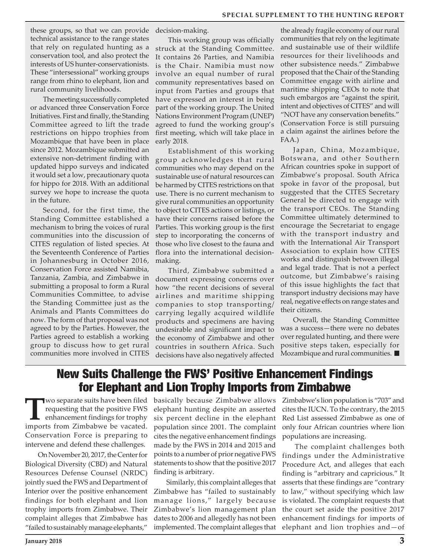these groups, so that we can provide technical assistance to the range states that rely on regulated hunting as a conservation tool, and also protect the interests of US hunter-conservationists. These "intersessional" working groups range from rhino to elephant, lion and rural community livelihoods.

The meeting successfully completed or advanced three Conservation Force Initiatives. First and finally, the Standing Committee agreed to lift the trade restrictions on hippo trophies from Mozambique that have been in place since 2012. Mozambique submitted an extensive non-detriment finding with updated hippo surveys and indicated it would set a low, precautionary quota for hippo for 2018. With an additional survey we hope to increase the quota in the future.

Second, for the first time, the Standing Committee established a mechanism to bring the voices of rural communities into the discussion of CITES regulation of listed species. At the Seventeenth Conference of Parties in Johannesburg in October 2016, Conservation Force assisted Namibia, Tanzania, Zambia, and Zimbabwe in submitting a proposal to form a Rural Communities Committee, to advise the Standing Committee just as the Animals and Plants Committees do now. The form of that proposal was not agreed to by the Parties. However, the Parties agreed to establish a working group to discuss how to get rural communities more involved in CITES decision-making.

This working group was officially struck at the Standing Committee. It contains 26 Parties, and Namibia is the Chair. Namibia must now involve an equal number of rural community representatives based on input from Parties and groups that have expressed an interest in being part of the working group. The United Nations Environment Program (UNEP) agreed to fund the working group's first meeting, which will take place in early 2018.

Establishment of this working group acknowledges that rural communities who may depend on the sustainable use of natural resources can be harmed by CITES restrictions on that use. There is no current mechanism to give rural communities an opportunity to object to CITES actions or listings, or have their concerns raised before the Parties. This working group is the first step to incorporating the concerns of those who live closest to the fauna and flora into the international decisionmaking.

Third, Zimbabwe submitted a document expressing concerns over how "the recent decisions of several airlines and maritime shipping companies to stop transporting/ carrying legally acquired wildlife products and specimens are having undesirable and significant impact to the economy of Zimbabwe and other countries in southern Africa. Such decisions have also negatively affected

the already fragile economy of our rural communities that rely on the legitimate and sustainable use of their wildlife resources for their livelihoods and other subsistence needs." Zimbabwe proposed that the Chair of the Standing Committee engage with airline and maritime shipping CEOs to note that such embargos are "against the spirit, intent and objectives of CITES" and will "NOT have any conservation benefits." (Conservation Force is still pursuing a claim against the airlines before the FAA.)

Japan, China, Mozambique, Botswana, and other Southern African countries spoke in support of Zimbabwe's proposal. South Africa spoke in favor of the proposal, but suggested that the CITES Secretary General be directed to engage with the transport CEOs. The Standing Committee ultimately determined to encourage the Secretariat to engage with the transport industry and with the International Air Transport Association to explain how CITES works and distinguish between illegal and legal trade. That is not a perfect outcome, but Zimbabwe's raising of this issue highlights the fact that transport industry decisions may have real, negative effects on range states and their citizens.

Overall, the Standing Committee was a success—there were no debates over regulated hunting, and there were positive steps taken, especially for Mozambique and rural communities.

## New Suits Challenge the FWS' Positive Enhancement Findings for Elephant and Lion Trophy Imports from Zimbabwe

**T**WO separate suits have been filed<br>
requesting that the positive FWS<br>
enhancement findings for trophy<br>
imports from Zimbabwe be vecated requesting that the positive FWS imports from Zimbabwe be vacated. Conservation Force is preparing to intervene and defend these challenges.

On November 20, 2017, the Center for Biological Diversity (CBD) and Natural Resources Defense Counsel (NRDC) jointly sued the FWS and Department of Interior over the positive enhancement findings for both elephant and lion trophy imports from Zimbabwe. Their complaint alleges that Zimbabwe has "failed to sustainably manage elephants,"

basically because Zimbabwe allows elephant hunting despite an asserted six percent decline in the elephant population since 2001. The complaint cites the negative enhancement findings made by the FWS in 2014 and 2015 and points to a number of prior negative FWS statements to show that the positive 2017 finding is arbitrary.

Similarly, this complaint alleges that Zimbabwe has "failed to sustainably manage lions," largely because Zimbabwe's lion management plan dates to 2006 and allegedly has not been implemented. The complaint alleges that Zimbabwe's lion population is "703" and cites the IUCN. To the contrary, the 2015 Red List assessed Zimbabwe as one of only four African countries where lion populations are increasing.

The complaint challenges both findings under the Administrative Procedure Act, and alleges that each finding is "arbitrary and capricious." It asserts that these findings are "contrary to law," without specifying which law is violated. The complaint requests that the court set aside the positive 2017 enhancement findings for imports of elephant and lion trophies and—of